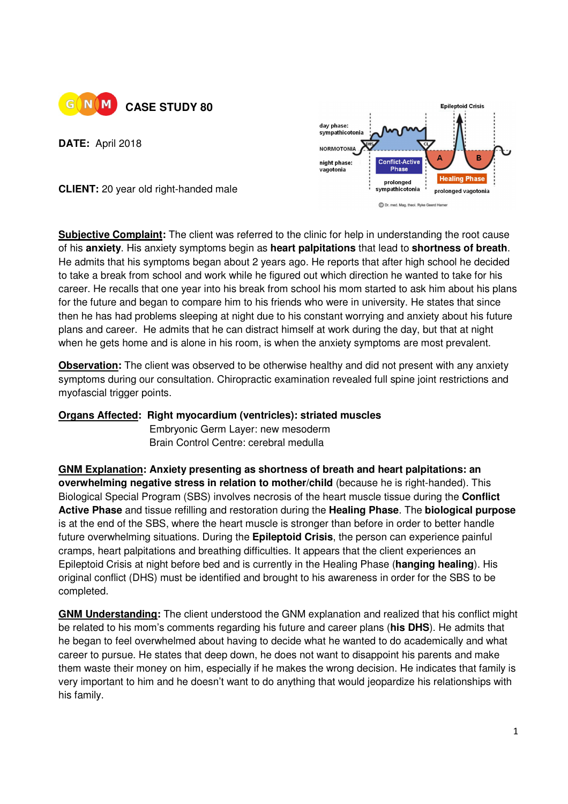

**DATE:** April 2018



**CLIENT:** 20 year old right-handed male

**Subjective Complaint:** The client was referred to the clinic for help in understanding the root cause of his **anxiety**. His anxiety symptoms begin as **heart palpitations** that lead to **shortness of breath**. He admits that his symptoms began about 2 years ago. He reports that after high school he decided to take a break from school and work while he figured out which direction he wanted to take for his career. He recalls that one year into his break from school his mom started to ask him about his plans for the future and began to compare him to his friends who were in university. He states that since then he has had problems sleeping at night due to his constant worrying and anxiety about his future plans and career. He admits that he can distract himself at work during the day, but that at night when he gets home and is alone in his room, is when the anxiety symptoms are most prevalent.

**Observation:** The client was observed to be otherwise healthy and did not present with any anxiety symptoms during our consultation. Chiropractic examination revealed full spine joint restrictions and myofascial trigger points.

## **Organs Affected: Right myocardium (ventricles): striated muscles**

**Embryonic Germ Layer: new mesoderm** Brain Control Centre: cerebral medulla

**GNM Explanation: Anxiety presenting as shortness of breath and heart palpitations: an overwhelming negative stress in relation to mother/child** (because he is right-handed). This Biological Special Program (SBS) involves necrosis of the heart muscle tissue during the **Conflict Active Phase** and tissue refilling and restoration during the **Healing Phase**. The **biological purpose**  is at the end of the SBS, where the heart muscle is stronger than before in order to better handle future overwhelming situations. During the **Epileptoid Crisis**, the person can experience painful cramps, heart palpitations and breathing difficulties. It appears that the client experiences an Epileptoid Crisis at night before bed and is currently in the Healing Phase (**hanging healing**). His original conflict (DHS) must be identified and brought to his awareness in order for the SBS to be completed.

**GNM Understanding:** The client understood the GNM explanation and realized that his conflict might be related to his mom's comments regarding his future and career plans (**his DHS**). He admits that he began to feel overwhelmed about having to decide what he wanted to do academically and what career to pursue. He states that deep down, he does not want to disappoint his parents and make them waste their money on him, especially if he makes the wrong decision. He indicates that family is very important to him and he doesn't want to do anything that would jeopardize his relationships with his family.